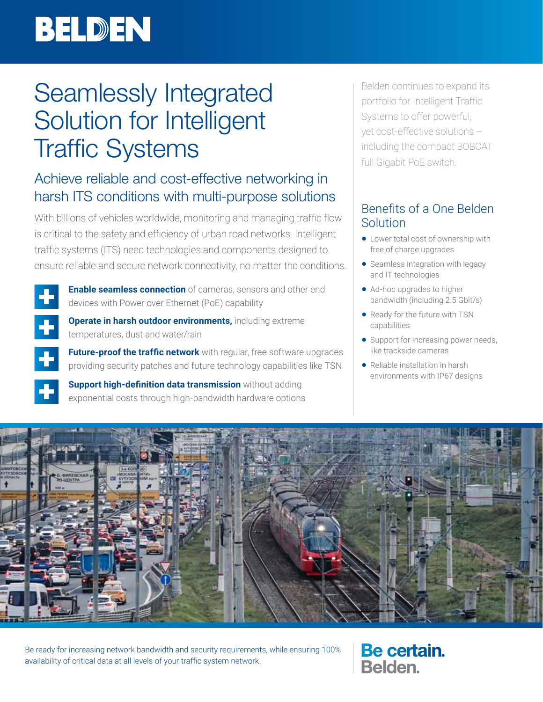# BELDEN

## Seamlessly Integrated Solution for Intelligent Traffic Systems

## Achieve reliable and cost-effective networking in harsh ITS conditions with multi-purpose solutions

With billions of vehicles worldwide, monitoring and managing traffic flow is critical to the safety and efficiency of urban road networks. Intelligent traffic systems (ITS) need technologies and components designed to ensure reliable and secure network connectivity, no matter the conditions.



**Enable seamless connection** of cameras, sensors and other end devices with Power over Ethernet (PoE) capability



**Operate in harsh outdoor environments,** including extreme temperatures, dust and water/rain

**Future-proof the traffic network** with regular, free software upgrades providing security patches and future technology capabilities like TSN

**Support high-definition data transmission** without adding exponential costs through high-bandwidth hardware options

Belden continues to expand its portfolio for Intelligent Traffic Systems to offer powerful, yet cost-effective solutions – including the compact BOBCAT full Gigabit PoE switch.

## Benefits of a One Belden Solution

- Lower total cost of ownership with free of charge upgrades
- Seamless integration with legacy and IT technologies
- Ad-hoc upgrades to higher bandwidth (including 2.5 Gbit/s)
- Ready for the future with TSN capabilities
- Support for increasing power needs, like trackside cameras
- Reliable installation in harsh environments with IP67 designs



Be ready for increasing network bandwidth and security requirements, while ensuring 100% availability of critical data at all levels of your traffic system network.

Be certain. **Belden**